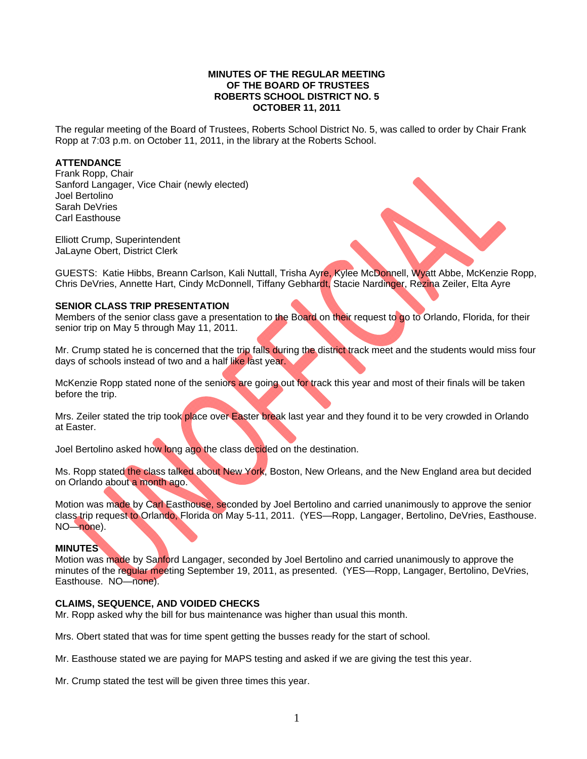#### **MINUTES OF THE REGULAR MEETING OF THE BOARD OF TRUSTEES ROBERTS SCHOOL DISTRICT NO. 5 OCTOBER 11, 2011**

The regular meeting of the Board of Trustees, Roberts School District No. 5, was called to order by Chair Frank Ropp at 7:03 p.m. on October 11, 2011, in the library at the Roberts School.

#### **ATTENDANCE**

Frank Ropp, Chair Sanford Langager, Vice Chair (newly elected) Joel Bertolino Sarah DeVries Carl Easthouse

Elliott Crump, Superintendent JaLayne Obert, District Clerk

GUESTS: Katie Hibbs, Breann Carlson, Kali Nuttall, Trisha Ayre, Kylee McDonnell, Wyatt Abbe, McKenzie Ropp, Chris DeVries, Annette Hart, Cindy McDonnell, Tiffany Gebhardt, Stacie Nardinger, Rezina Zeiler, Elta Ayre

### **SENIOR CLASS TRIP PRESENTATION**

Members of the senior class gave a presentation to the Board on their request to go to Orlando, Florida, for their senior trip on May 5 through May 11, 2011.

Mr. Crump stated he is concerned that the trip falls during the district track meet and the students would miss four days of schools instead of two and a half like last year.

McKenzie Ropp stated none of the seniors are going out for track this year and most of their finals will be taken before the trip.

Mrs. Zeiler stated the trip took place over Easter break last year and they found it to be very crowded in Orlando at Easter.

Joel Bertolino asked how long ago the class decided on the destination.

Ms. Ropp stated the class talked about New York, Boston, New Orleans, and the New England area but decided on Orlando about a month ago.

Motion was made by Carl Easthouse, seconded by Joel Bertolino and carried unanimously to approve the senior class trip request to Orlando, Florida on May 5-11, 2011. (YES—Ropp, Langager, Bertolino, DeVries, Easthouse. NO—none).

#### **MINUTES**

Motion was made by Sanford Langager, seconded by Joel Bertolino and carried unanimously to approve the minutes of the regular meeting September 19, 2011, as presented. (YES—Ropp, Langager, Bertolino, DeVries, Easthouse. NO—none).

#### **CLAIMS, SEQUENCE, AND VOIDED CHECKS**

Mr. Ropp asked why the bill for bus maintenance was higher than usual this month.

Mrs. Obert stated that was for time spent getting the busses ready for the start of school.

Mr. Easthouse stated we are paying for MAPS testing and asked if we are giving the test this year.

Mr. Crump stated the test will be given three times this year.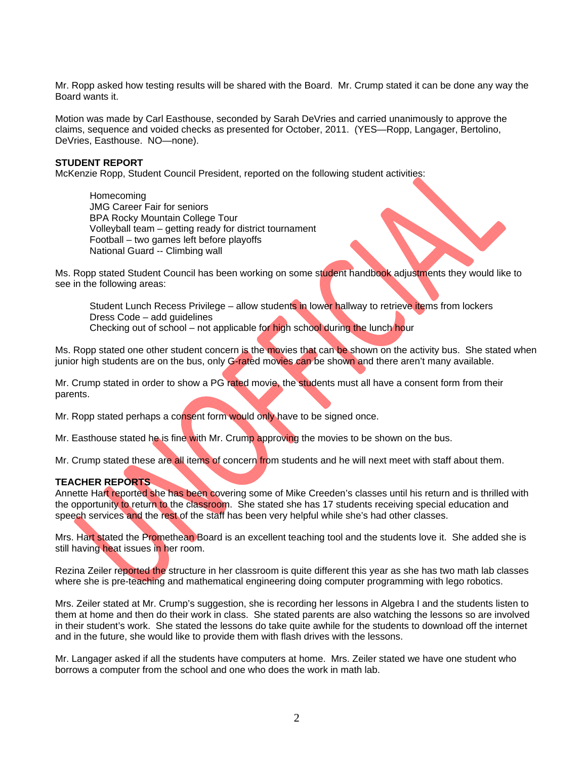Mr. Ropp asked how testing results will be shared with the Board. Mr. Crump stated it can be done any way the Board wants it.

Motion was made by Carl Easthouse, seconded by Sarah DeVries and carried unanimously to approve the claims, sequence and voided checks as presented for October, 2011. (YES—Ropp, Langager, Bertolino, DeVries, Easthouse. NO—none).

#### **STUDENT REPORT**

McKenzie Ropp, Student Council President, reported on the following student activities:

 Homecoming JMG Career Fair for seniors BPA Rocky Mountain College Tour Volleyball team – getting ready for district tournament Football – two games left before playoffs National Guard -- Climbing wall

Ms. Ropp stated Student Council has been working on some student handbook adjustments they would like to see in the following areas:

Student Lunch Recess Privilege – allow students in lower hallway to retrieve items from lockers Dress Code – add guidelines Checking out of school – not applicable for high school during the lunch hour

Ms. Ropp stated one other student concern is the movies that can be shown on the activity bus. She stated when junior high students are on the bus, only G-rated movies can be shown and there aren't many available.

Mr. Crump stated in order to show a PG rated movie, the students must all have a consent form from their parents.

Mr. Ropp stated perhaps a consent form would only have to be signed once.

Mr. Easthouse stated he is fine with Mr. Crump approving the movies to be shown on the bus.

Mr. Crump stated these are all items of concern from students and he will next meet with staff about them.

#### **TEACHER REPORTS**

Annette Hart reported she has been covering some of Mike Creeden's classes until his return and is thrilled with the opportunity to return to the classroom. She stated she has 17 students receiving special education and speech services and the rest of the staff has been very helpful while she's had other classes.

Mrs. Hart stated the Promethean Board is an excellent teaching tool and the students love it. She added she is still having heat issues in her room.

Rezina Zeiler reported the structure in her classroom is quite different this year as she has two math lab classes where she is pre-teaching and mathematical engineering doing computer programming with lego robotics.

Mrs. Zeiler stated at Mr. Crump's suggestion, she is recording her lessons in Algebra I and the students listen to them at home and then do their work in class. She stated parents are also watching the lessons so are involved in their student's work. She stated the lessons do take quite awhile for the students to download off the internet and in the future, she would like to provide them with flash drives with the lessons.

Mr. Langager asked if all the students have computers at home. Mrs. Zeiler stated we have one student who borrows a computer from the school and one who does the work in math lab.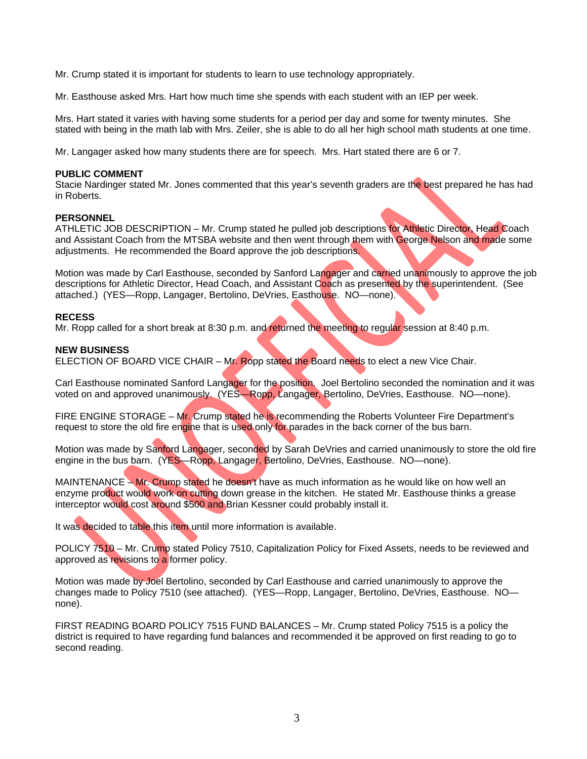Mr. Crump stated it is important for students to learn to use technology appropriately.

Mr. Easthouse asked Mrs. Hart how much time she spends with each student with an IEP per week.

Mrs. Hart stated it varies with having some students for a period per day and some for twenty minutes. She stated with being in the math lab with Mrs. Zeiler, she is able to do all her high school math students at one time.

Mr. Langager asked how many students there are for speech. Mrs. Hart stated there are 6 or 7.

#### **PUBLIC COMMENT**

Stacie Nardinger stated Mr. Jones commented that this year's seventh graders are the best prepared he has had in Roberts.

### **PERSONNEL**

ATHLETIC JOB DESCRIPTION - Mr. Crump stated he pulled job descriptions for Athletic Director, Head Coach and Assistant Coach from the MTSBA website and then went through them with George Nelson and made some adjustments. He recommended the Board approve the job descriptions.

Motion was made by Carl Easthouse, seconded by Sanford Langager and carried unanimously to approve the job descriptions for Athletic Director, Head Coach, and Assistant Coach as presented by the superintendent. (See attached.) (YES—Ropp, Langager, Bertolino, DeVries, Easthouse. NO—none).

#### **RECESS**

Mr. Ropp called for a short break at 8:30 p.m. and returned the meeting to regular session at 8:40 p.m.

#### **NEW BUSINESS**

ELECTION OF BOARD VICE CHAIR – Mr. Ropp stated the Board needs to elect a new Vice Chair.

Carl Easthouse nominated Sanford Langager for the position. Joel Bertolino seconded the nomination and it was voted on and approved unanimously. (YES—Ropp, Langager, Bertolino, DeVries, Easthouse. NO—none).

FIRE ENGINE STORAGE – Mr. Crump stated he is recommending the Roberts Volunteer Fire Department's request to store the old fire engine that is used only for parades in the back corner of the bus barn.

Motion was made by Sanford Langager, seconded by Sarah DeVries and carried unanimously to store the old fire engine in the bus barn. (YES—Ropp, Langager, Bertolino, DeVries, Easthouse. NO—none).

MAINTENANCE – Mr. Crump stated he doesn't have as much information as he would like on how well an enzyme product would work on cutting down grease in the kitchen. He stated Mr. Easthouse thinks a grease interceptor would cost around \$500 and Brian Kessner could probably install it.

It was decided to table this item until more information is available.

POLICY 7510 – Mr. Crump stated Policy 7510, Capitalization Policy for Fixed Assets, needs to be reviewed and approved as revisions to a former policy.

Motion was made by Joel Bertolino, seconded by Carl Easthouse and carried unanimously to approve the changes made to Policy 7510 (see attached). (YES—Ropp, Langager, Bertolino, DeVries, Easthouse. NO none).

FIRST READING BOARD POLICY 7515 FUND BALANCES – Mr. Crump stated Policy 7515 is a policy the district is required to have regarding fund balances and recommended it be approved on first reading to go to second reading.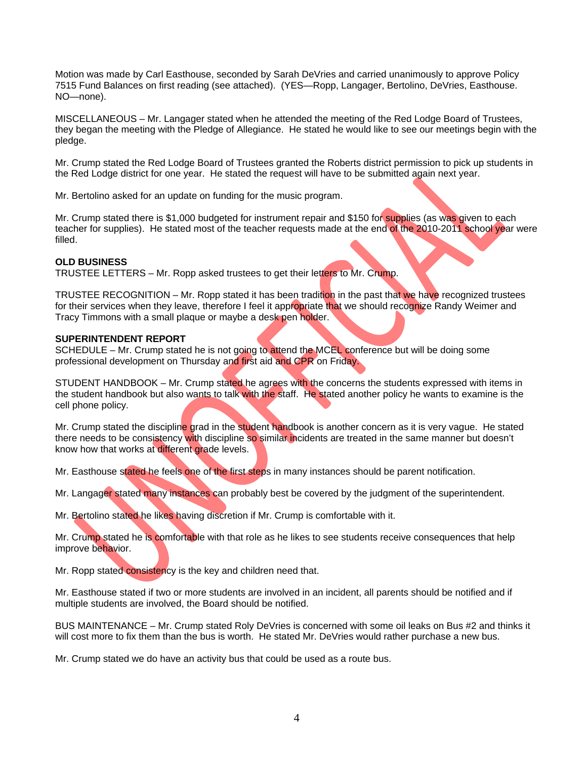Motion was made by Carl Easthouse, seconded by Sarah DeVries and carried unanimously to approve Policy 7515 Fund Balances on first reading (see attached). (YES—Ropp, Langager, Bertolino, DeVries, Easthouse. NO—none).

MISCELLANEOUS – Mr. Langager stated when he attended the meeting of the Red Lodge Board of Trustees, they began the meeting with the Pledge of Allegiance. He stated he would like to see our meetings begin with the pledge.

Mr. Crump stated the Red Lodge Board of Trustees granted the Roberts district permission to pick up students in the Red Lodge district for one year. He stated the request will have to be submitted again next year.

Mr. Bertolino asked for an update on funding for the music program.

Mr. Crump stated there is \$1,000 budgeted for instrument repair and \$150 for supplies (as was given to each teacher for supplies). He stated most of the teacher requests made at the end of the 2010-2011 school year were filled.

#### **OLD BUSINESS**

TRUSTEE LETTERS – Mr. Ropp asked trustees to get their letters to Mr. Crump.

TRUSTEE RECOGNITION – Mr. Ropp stated it has been tradition in the past that we have recognized trustees for their services when they leave, therefore I feel it appropriate that we should recognize Randy Weimer and Tracy Timmons with a small plaque or maybe a desk pen holder.

#### **SUPERINTENDENT REPORT**

SCHEDULE – Mr. Crump stated he is not going to attend the MCEL conference but will be doing some professional development on Thursday and first aid and CPR on Friday.

STUDENT HANDBOOK – Mr. Crump stated he agrees with the concerns the students expressed with items in the student handbook but also wants to talk with the staff. He stated another policy he wants to examine is the cell phone policy.

Mr. Crump stated the discipline grad in the student handbook is another concern as it is very vague. He stated there needs to be consistency with discipline so similar incidents are treated in the same manner but doesn't know how that works at different grade levels.

Mr. Easthouse stated he feels one of the first steps in many instances should be parent notification.

Mr. Langager stated many instances can probably best be covered by the judgment of the superintendent.

Mr. Bertolino stated he likes having discretion if Mr. Crump is comfortable with it.

Mr. Crump stated he is comfortable with that role as he likes to see students receive consequences that help improve behavior.

Mr. Ropp stated consistency is the key and children need that.

Mr. Easthouse stated if two or more students are involved in an incident, all parents should be notified and if multiple students are involved, the Board should be notified.

BUS MAINTENANCE – Mr. Crump stated Roly DeVries is concerned with some oil leaks on Bus #2 and thinks it will cost more to fix them than the bus is worth. He stated Mr. DeVries would rather purchase a new bus.

Mr. Crump stated we do have an activity bus that could be used as a route bus.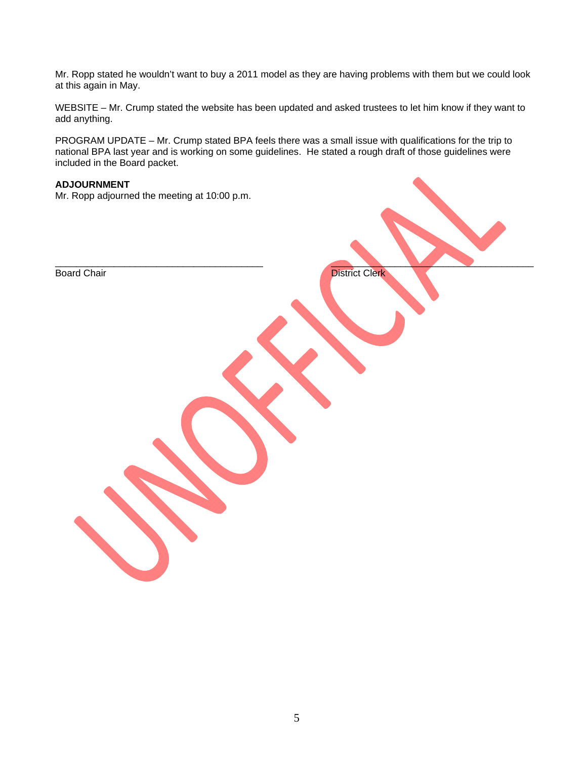Mr. Ropp stated he wouldn't want to buy a 2011 model as they are having problems with them but we could look at this again in May.

WEBSITE – Mr. Crump stated the website has been updated and asked trustees to let him know if they want to add anything.

PROGRAM UPDATE – Mr. Crump stated BPA feels there was a small issue with qualifications for the trip to national BPA last year and is working on some guidelines. He stated a rough draft of those guidelines were included in the Board packet.

#### **ADJOURNMENT**

Mr. Ropp adjourned the meeting at 10:00 p.m.

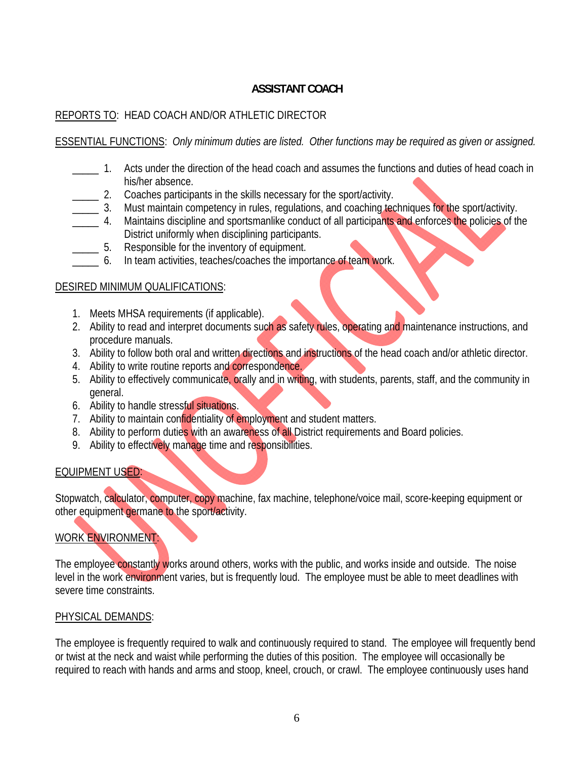## **ASSISTANT COACH**

## REPORTS TO: HEAD COACH AND/OR ATHLETIC DIRECTOR

## ESSENTIAL FUNCTIONS: *Only minimum duties are listed. Other functions may be required as given or assigned.*

- \_\_\_\_\_ 1. Acts under the direction of the head coach and assumes the functions and duties of head coach in his/her absence.
- \_\_\_\_\_ 2. Coaches participants in the skills necessary for the sport/activity.
- \_\_\_\_\_ 3. Must maintain competency in rules, regulations, and coaching techniques for the sport/activity.
- <sup>1</sup> \_\_\_\_\_ 4. Maintains discipline and sportsmanlike conduct of all participants and enforces the policies of the District uniformly when disciplining participants.
	- \_\_\_\_\_ 5. Responsible for the inventory of equipment.
- 6. In team activities, teaches/coaches the importance of team work.

## DESIRED MINIMUM QUALIFICATIONS:

- 1. Meets MHSA requirements (if applicable).
- 2. Ability to read and interpret documents such as safety rules, operating and maintenance instructions, and procedure manuals.
- 3. Ability to follow both oral and written directions and instructions of the head coach and/or athletic director.
- 4. Ability to write routine reports and correspondence.
- 5. Ability to effectively communicate, orally and in writing, with students, parents, staff, and the community in general.
- 6. Ability to handle stressful situations.
- 7. Ability to maintain confidentiality of employment and student matters.
- 8. Ability to perform duties with an awareness of all District requirements and Board policies.
- 9. Ability to effectively manage time and responsibilities.

## EQUIPMENT USED:

Stopwatch, calculator, computer, copy machine, fax machine, telephone/voice mail, score-keeping equipment or other equipment germane to the sport/activity.

## WORK ENVIRONMENT:

The employee constantly works around others, works with the public, and works inside and outside. The noise level in the work environment varies, but is frequently loud. The employee must be able to meet deadlines with severe time constraints.

## PHYSICAL DEMANDS:

The employee is frequently required to walk and continuously required to stand. The employee will frequently bend or twist at the neck and waist while performing the duties of this position. The employee will occasionally be required to reach with hands and arms and stoop, kneel, crouch, or crawl. The employee continuously uses hand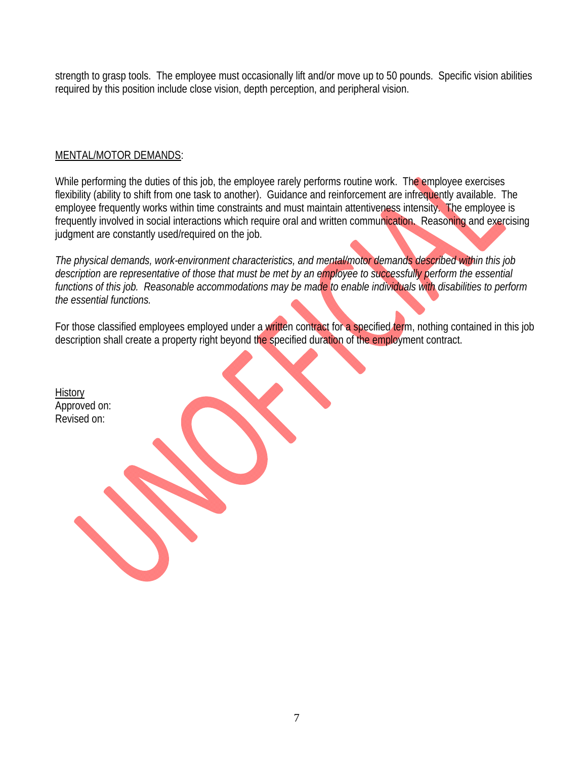strength to grasp tools. The employee must occasionally lift and/or move up to 50 pounds. Specific vision abilities required by this position include close vision, depth perception, and peripheral vision.

## MENTAL/MOTOR DEMANDS:

While performing the duties of this job, the employee rarely performs routine work. The employee exercises flexibility (ability to shift from one task to another). Guidance and reinforcement are infrequently available. The employee frequently works within time constraints and must maintain attentiveness intensity. The employee is frequently involved in social interactions which require oral and written communication. Reasoning and exercising judgment are constantly used/required on the job.

*The physical demands, work-environment characteristics, and mental/motor demands described within this job description are representative of those that must be met by an employee to successfully perform the essential functions of this job. Reasonable accommodations may be made to enable individuals with disabilities to perform the essential functions.*

For those classified employees employed under a written contract for a specified term, nothing contained in this job description shall create a property right beyond the specified duration of the employment contract.

| <u>History</u><br>Approved on:<br>Revised on: |  |  |
|-----------------------------------------------|--|--|
|                                               |  |  |
|                                               |  |  |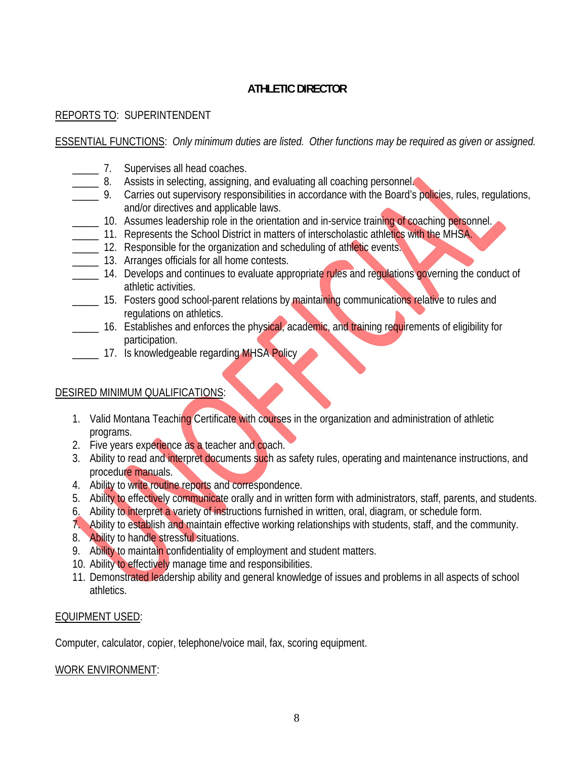# **ATHLETIC DIRECTOR**

## REPORTS TO: SUPERINTENDENT

## ESSENTIAL FUNCTIONS: *Only minimum duties are listed. Other functions may be required as given or assigned.*

- **\_\_\_\_\_\_\_ 7.** Supervises all head coaches.
- **EXECT:** 8. Assists in selecting, assigning, and evaluating all coaching personnel.
- **2008** 9. Carries out supervisory responsibilities in accordance with the Board's policies, rules, regulations, and/or directives and applicable laws.
- <sup>10</sup>. Assumes leadership role in the orientation and in-service training of coaching personnel.
- **The 11. Represents the School District in matters of interscholastic athletics with the MHSA.** 
	- **12.** Responsible for the organization and scheduling of athletic events.
	- **\_\_\_\_\_** 13. Arranges officials for all home contests.
- <sup>14.</sup> Develops and continues to evaluate appropriate rules and regulations governing the conduct of athletic activities.
- <sup>15</sup>. Fosters good school-parent relations by maintaining communications relative to rules and regulations on athletics.
- **\_\_\_\_\_** 16. Establishes and enforces the physical, academic, and training requirements of eligibility for participation.
- **\_\_\_\_\_\_ 17.** Is knowledgeable regarding MHSA Policy

## DESIRED MINIMUM QUALIFICATIONS:

- 1. Valid Montana Teaching Certificate with courses in the organization and administration of athletic programs.
- 2. Five years experience as a teacher and coach.
- 3. Ability to read and interpret documents such as safety rules, operating and maintenance instructions, and procedure manuals.
- 4. Ability to write routine reports and correspondence.
- 5. Ability to effectively communicate orally and in written form with administrators, staff, parents, and students.
- 6. Ability to interpret a variety of instructions furnished in written, oral, diagram, or schedule form.
- 7. Ability to establish and maintain effective working relationships with students, staff, and the community.
- 8. Ability to handle stressful situations.
- 9. Ability to maintain confidentiality of employment and student matters.
- 10. Ability to effectively manage time and responsibilities.
- 11. Demonstrated leadership ability and general knowledge of issues and problems in all aspects of school athletics.

## EQUIPMENT USED:

Computer, calculator, copier, telephone/voice mail, fax, scoring equipment.

## WORK ENVIRONMENT: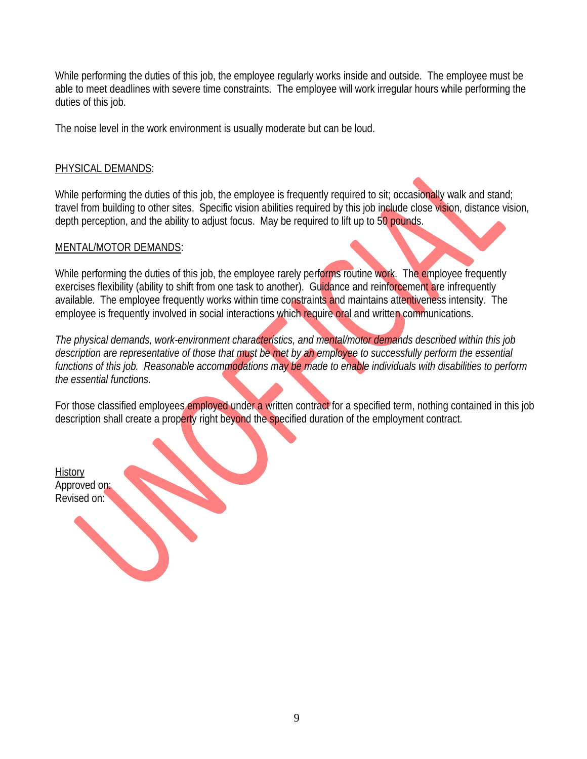While performing the duties of this job, the employee regularly works inside and outside. The employee must be able to meet deadlines with severe time constraints. The employee will work irregular hours while performing the duties of this job.

The noise level in the work environment is usually moderate but can be loud.

## PHYSICAL DEMANDS:

While performing the duties of this job, the employee is frequently required to sit; occasionally walk and stand; travel from building to other sites. Specific vision abilities required by this job include close vision, distance vision, depth perception, and the ability to adjust focus. May be required to lift up to 50 pounds.

## MENTAL/MOTOR DEMANDS:

While performing the duties of this job, the employee rarely performs routine work. The employee frequently exercises flexibility (ability to shift from one task to another). Guidance and reinforcement are infrequently available. The employee frequently works within time constraints and maintains attentiveness intensity. The employee is frequently involved in social interactions which require oral and written communications.

*The physical demands, work-environment characteristics, and mental/motor demands described within this job description are representative of those that must be met by an employee to successfully perform the essential functions of this job. Reasonable accommodations may be made to enable individuals with disabilities to perform the essential functions.*

For those classified employees employed under a written contract for a specified term, nothing contained in this job description shall create a property right beyond the specified duration of the employment contract.

**History** Approved on: Revised on: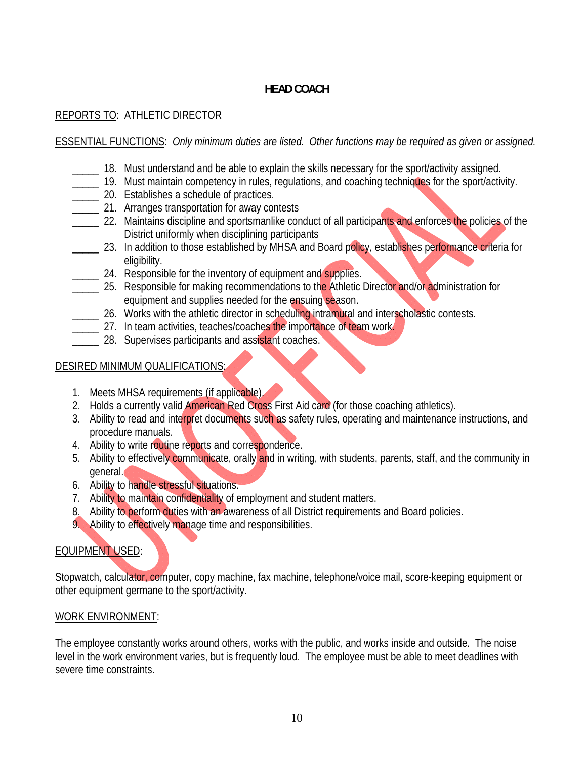# **HEAD COACH**

## REPORTS TO: ATHLETIC DIRECTOR

## ESSENTIAL FUNCTIONS: *Only minimum duties are listed. Other functions may be required as given or assigned.*

- \_\_\_\_\_ 18. Must understand and be able to explain the skills necessary for the sport/activity assigned.
- \_\_\_\_\_ 19. Must maintain competency in rules, regulations, and coaching techniques for the sport/activity.
- **\_\_\_\_\_ 20.** Establishes a schedule of practices.
- **\_\_\_\_\_** 21. Arranges transportation for away contests
- <sup>22</sup>. Maintains discipline and sportsmanlike conduct of all participants and enforces the policies of the District uniformly when disciplining participants
- <sup>23.</sup> In addition to those established by MHSA and Board policy, establishes performance criteria for eligibility.
- 24. Responsible for the inventory of equipment and supplies.
- 25. Responsible for making recommendations to the Athletic Director and/or administration for equipment and supplies needed for the ensuing season.
- 26. Works with the athletic director in scheduling intramural and interscholastic contests.
- **\_\_\_\_\_** 27. In team activities, teaches/coaches the importance of team work.
	- **28.** Supervises participants and assistant coaches.

## DESIRED MINIMUM QUALIFICATIONS:

- 1. Meets MHSA requirements (if applicable).
- 2. Holds a currently valid American Red Cross First Aid card (for those coaching athletics).
- 3. Ability to read and interpret documents such as safety rules, operating and maintenance instructions, and procedure manuals.
- 4. Ability to write routine reports and correspondence.
- 5. Ability to effectively communicate, orally and in writing, with students, parents, staff, and the community in general.
- 6. Ability to handle stressful situations.
- 7. Ability to maintain confidentiality of employment and student matters.
- 8. Ability to perform duties with an awareness of all District requirements and Board policies.
- 9. Ability to effectively manage time and responsibilities.

# EQUIPMENT USED:

Stopwatch, calculator, computer, copy machine, fax machine, telephone/voice mail, score-keeping equipment or other equipment germane to the sport/activity.

## WORK ENVIRONMENT:

The employee constantly works around others, works with the public, and works inside and outside. The noise level in the work environment varies, but is frequently loud. The employee must be able to meet deadlines with severe time constraints.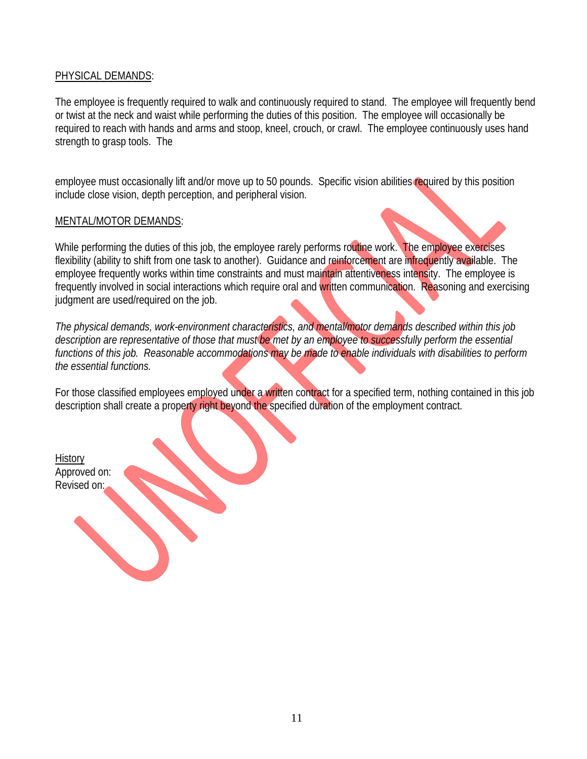### PHYSICAL DEMANDS:

The employee is frequently required to walk and continuously required to stand. The employee will frequently bend or twist at the neck and waist while performing the duties of this position. The employee will occasionally be required to reach with hands and arms and stoop, kneel, crouch, or crawl. The employee continuously uses hand strength to grasp tools. The

employee must occasionally lift and/or move up to 50 pounds. Specific vision abilities required by this position include close vision, depth perception, and peripheral vision.

### MENTAL/MOTOR DEMANDS:

While performing the duties of this job, the employee rarely performs routine work. The employee exercises flexibility (ability to shift from one task to another). Guidance and reinforcement are infrequently available. The employee frequently works within time constraints and must maintain attentiveness intensity. The employee is frequently involved in social interactions which require oral and written communication. Reasoning and exercising judgment are used/required on the job.

*The physical demands, work-environment characteristics, and mental/motor demands described within this job*  description are representative of those that must be met by an employee to successfully perform the essential *functions of this job. Reasonable accommodations may be made to enable individuals with disabilities to perform the essential functions.*

For those classified employees employed under a written contract for a specified term, nothing contained in this job description shall create a property right beyond the specified duration of the employment contract.

**History** Approved on: Revised on: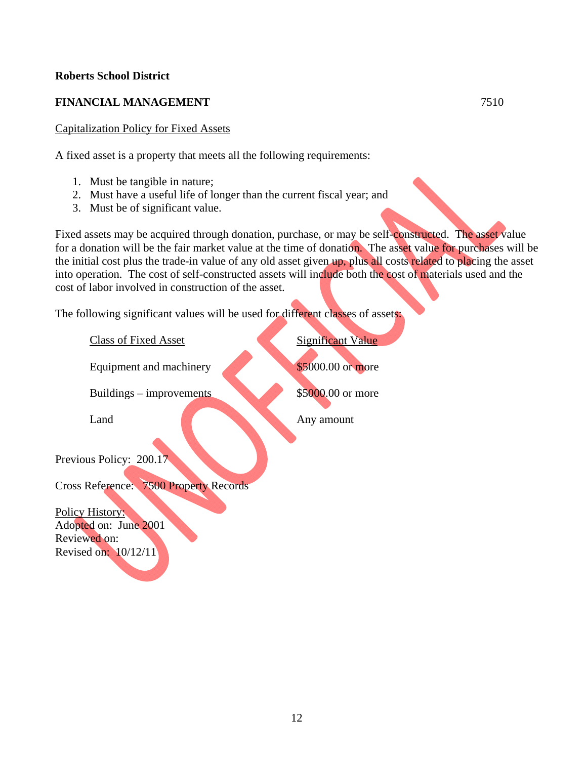### **Roberts School District**

## **FINANCIAL MANAGEMENT** 7510

### Capitalization Policy for Fixed Assets

A fixed asset is a property that meets all the following requirements:

- 1. Must be tangible in nature;
- 2. Must have a useful life of longer than the current fiscal year; and
- 3. Must be of significant value.

Fixed assets may be acquired through donation, purchase, or may be self-constructed. The asset value for a donation will be the fair market value at the time of donation. The asset value for purchases will be the initial cost plus the trade-in value of any old asset given up, plus all costs related to placing the asset into operation. The cost of self-constructed assets will include both the cost of materials used and the cost of labor involved in construction of the asset.

The following significant values will be used for different classes of assets:

**Class of Fixed Asset** Significant Value Equipment and machinery \$5000.00 or more Buildings – improvements \$5000.00 or more Land Any amount Previous Policy: 200.17 Cross Reference: 7500 Property Records Policy History: Adopted on: June 2001 Reviewed on: Revised on: 10/12/11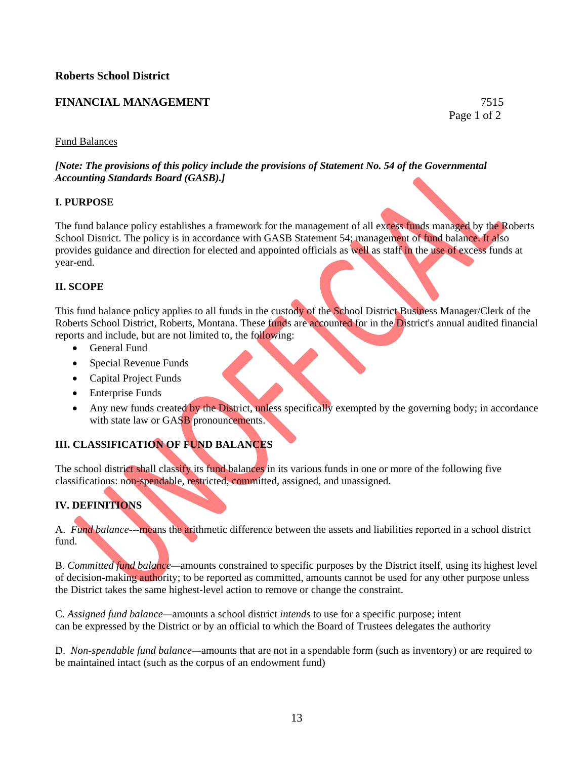### **FINANCIAL MANAGEMENT** 7515

Page 1 of 2

### Fund Balances

*[Note: The provisions of this policy include the provisions of Statement No. 54 of the Governmental Accounting Standards Board (GASB).]* 

#### **I. PURPOSE**

The fund balance policy establishes a framework for the management of all excess funds managed by the Roberts School District. The policy is in accordance with GASB Statement 54; management of fund balance. It also provides guidance and direction for elected and appointed officials as well as staff in the use of excess funds at year-end.

### **II. SCOPE**

This fund balance policy applies to all funds in the custody of the School District Business Manager/Clerk of the Roberts School District, Roberts, Montana. These funds are accounted for in the District's annual audited financial reports and include, but are not limited to, the following:

- General Fund
- Special Revenue Funds
- Capital Project Funds
- Enterprise Funds
- Any new funds created by the District, unless specifically exempted by the governing body; in accordance with state law or GASB pronouncements.

## **III. CLASSIFICATION OF FUND BALANCES**

The school district shall classify its fund balances in its various funds in one or more of the following five classifications: non-spendable, restricted, committed, assigned, and unassigned.

### **IV. DEFINITIONS**

A. *Fund balance*---means the arithmetic difference between the assets and liabilities reported in a school district fund.

B. *Committed fund balance—*amounts constrained to specific purposes by the District itself, using its highest level of decision-making authority; to be reported as committed, amounts cannot be used for any other purpose unless the District takes the same highest-level action to remove or change the constraint.

C. *Assigned fund balance—*amounts a school district *intends* to use for a specific purpose; intent can be expressed by the District or by an official to which the Board of Trustees delegates the authority

D. *Non-spendable fund balance—*amounts that are not in a spendable form (such as inventory) or are required to be maintained intact (such as the corpus of an endowment fund)